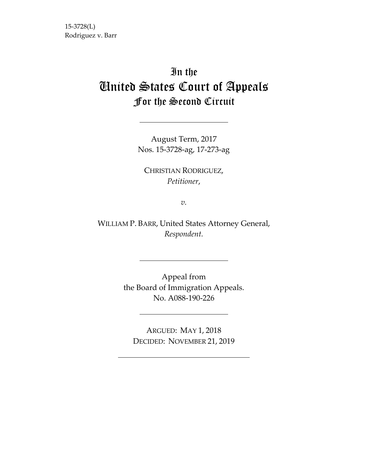15‐3728(L) Rodriguez v. Barr

# In the United States Court of Appeals For the Second Circuit

August Term, 2017 Nos. 15‐3728‐ag, 17‐273‐ag

CHRISTIAN RODRIGUEZ, *Petitioner*,

*v.*

WILLIAM P. BARR, United States Attorney General, *Respondent.*

> Appeal from the Board of Immigration Appeals. No. A088‐190‐226

ARGUED: MAY 1, 2018 DECIDED: NOVEMBER 21, 2019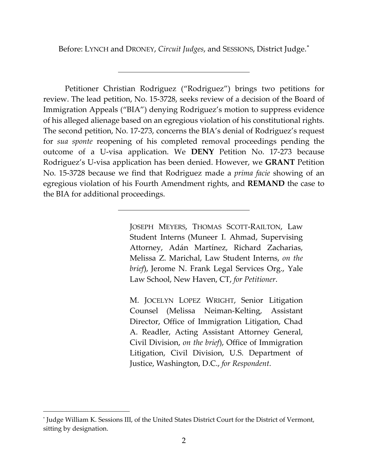Before: LYNCH and DRONEY, *Circuit Judges*, and SESSIONS, District Judge.*\**

Petitioner Christian Rodriguez ("Rodriguez") brings two petitions for review. The lead petition, No. 15‐3728, seeks review of a decision of the Board of Immigration Appeals ("BIA") denying Rodriguez's motion to suppress evidence of his alleged alienage based on an egregious violation of his constitutional rights. The second petition, No. 17‐273, concerns the BIA's denial of Rodriguez's request for *sua sponte* reopening of his completed removal proceedings pending the outcome of a U‐visa application. We **DENY** Petition No. 17‐273 because Rodriguez's U‐visa application has been denied. However, we **GRANT** Petition No. 15‐3728 because we find that Rodriguez made a *prima facie* showing of an egregious violation of his Fourth Amendment rights, and **REMAND** the case to the BIA for additional proceedings.

> JOSEPH MEYERS, THOMAS SCOTT‐RAILTON, Law Student Interns (Muneer I. Ahmad, Supervising Attorney, Adán Martínez, Richard Zacharias, Melissa Z. Marichal, Law Student Interns, *on the brief*), Jerome N. Frank Legal Services Org., Yale Law School, New Haven, CT, *for Petitioner*.

> M. JOCELYN LOPEZ WRIGHT, Senior Litigation Counsel (Melissa Neiman‐Kelting, Assistant Director, Office of Immigration Litigation, Chad A. Readler, Acting Assistant Attorney General, Civil Division, *on the brief*), Office of Immigration Litigation, Civil Division, U.S. Department of Justice, Washington, D.C., *for Respondent*.

<sup>\*</sup> Judge William K. Sessions III, of the United States District Court for the District of Vermont, sitting by designation.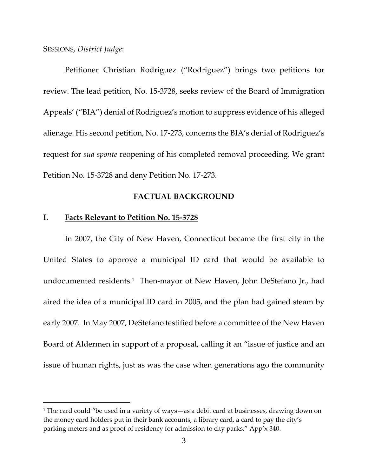#### SESSIONS, *District Judge*:

Petitioner Christian Rodriguez ("Rodriguez") brings two petitions for review. The lead petition, No. 15‐3728, seeks review of the Board of Immigration Appeals' ("BIA") denial of Rodriguez's motion to suppress evidence of his alleged alienage. His second petition, No. 17‐273, concerns the BIA's denial of Rodriguez's request for *sua sponte* reopening of his completed removal proceeding. We grant Petition No. 15‐3728 and deny Petition No. 17‐273.

# **FACTUAL BACKGROUND**

## **I. Facts Relevant to Petition No. 15‐3728**

In 2007, the City of New Haven, Connecticut became the first city in the United States to approve a municipal ID card that would be available to undocumented residents.<sup>1</sup> Then-mayor of New Haven, John DeStefano Jr., had aired the idea of a municipal ID card in 2005, and the plan had gained steam by early 2007. In May 2007, DeStefano testified before a committee of the New Haven Board of Aldermen in support of a proposal, calling it an "issue of justice and an issue of human rights, just as was the case when generations ago the community

<sup>&</sup>lt;sup>1</sup> The card could "be used in a variety of ways—as a debit card at businesses, drawing down on the money card holders put in their bank accounts, a library card, a card to pay the city's parking meters and as proof of residency for admission to city parks." App'x 340.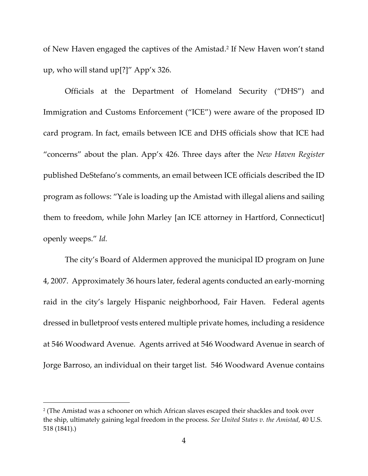of New Haven engaged the captives of the Amistad.2 If New Haven won't stand up, who will stand up[?]" App'x 326.

Officials at the Department of Homeland Security ("DHS") and Immigration and Customs Enforcement ("ICE") were aware of the proposed ID card program. In fact, emails between ICE and DHS officials show that ICE had "concerns" about the plan. App'x 426. Three days after the *New Haven Register* published DeStefano's comments, an email between ICE officials described the ID program as follows: "Yale is loading up the Amistad with illegal aliens and sailing them to freedom, while John Marley [an ICE attorney in Hartford, Connecticut] openly weeps." *Id.*

The city's Board of Aldermen approved the municipal ID program on June 4, 2007. Approximately 36 hours later, federal agents conducted an early‐morning raid in the city's largely Hispanic neighborhood, Fair Haven. Federal agents dressed in bulletproof vests entered multiple private homes, including a residence at 546 Woodward Avenue. Agents arrived at 546 Woodward Avenue in search of Jorge Barroso, an individual on their target list. 546 Woodward Avenue contains

<sup>2</sup> (The Amistad was a schooner on which African slaves escaped their shackles and took over the ship, ultimately gaining legal freedom in the process. *See United States v. the Amistad*, 40 U.S. 518 (1841).)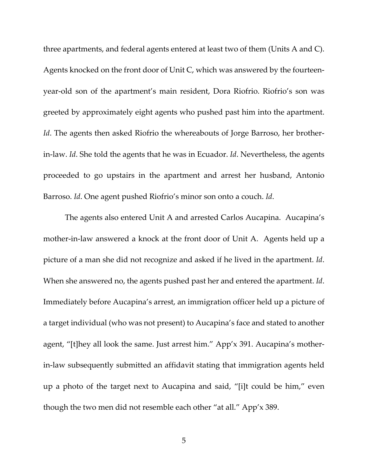three apartments, and federal agents entered at least two of them (Units A and C). Agents knocked on the front door of Unit C, which was answered by the fourteen‐ year‐old son of the apartment's main resident, Dora Riofrio. Riofrio's son was greeted by approximately eight agents who pushed past him into the apartment. *Id*. The agents then asked Riofrio the whereabouts of Jorge Barroso, her brotherin‐law. *Id*. She told the agents that he was in Ecuador. *Id*. Nevertheless, the agents proceeded to go upstairs in the apartment and arrest her husband, Antonio Barroso. *Id*. One agent pushed Riofrio's minor son onto a couch. *Id*.

The agents also entered Unit A and arrested Carlos Aucapina. Aucapina's mother-in-law answered a knock at the front door of Unit A. Agents held up a picture of a man she did not recognize and asked if he lived in the apartment. *Id*. When she answered no, the agents pushed past her and entered the apartment. *Id*. Immediately before Aucapina's arrest, an immigration officer held up a picture of a target individual (who was not present) to Aucapina's face and stated to another agent, "[t]hey all look the same. Just arrest him." App'x 391. Aucapina's mother‐ in‐law subsequently submitted an affidavit stating that immigration agents held up a photo of the target next to Aucapina and said, "[i]t could be him," even though the two men did not resemble each other "at all." App'x 389.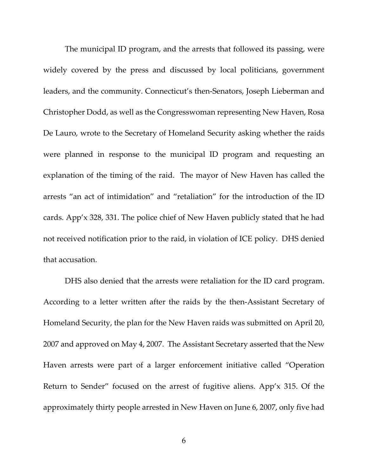The municipal ID program, and the arrests that followed its passing, were widely covered by the press and discussed by local politicians, government leaders, and the community. Connecticut's then‐Senators, Joseph Lieberman and Christopher Dodd, as well as the Congresswoman representing New Haven, Rosa De Lauro, wrote to the Secretary of Homeland Security asking whether the raids were planned in response to the municipal ID program and requesting an explanation of the timing of the raid. The mayor of New Haven has called the arrests "an act of intimidation" and "retaliation" for the introduction of the ID cards. App'x 328, 331. The police chief of New Haven publicly stated that he had not received notification prior to the raid, in violation of ICE policy. DHS denied that accusation.

DHS also denied that the arrests were retaliation for the ID card program. According to a letter written after the raids by the then‐Assistant Secretary of Homeland Security, the plan for the New Haven raids was submitted on April 20, 2007 and approved on May 4, 2007.The Assistant Secretary asserted that the New Haven arrests were part of a larger enforcement initiative called "Operation Return to Sender" focused on the arrest of fugitive aliens. App'x 315. Of the approximately thirty people arrested in New Haven on June 6, 2007, only five had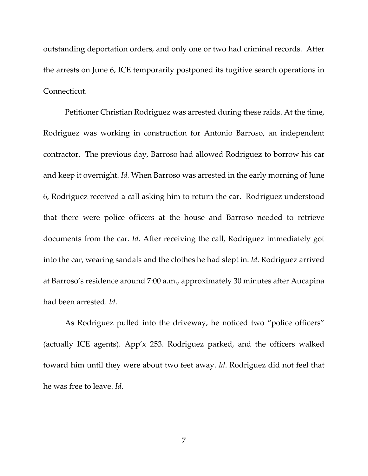outstanding deportation orders, and only one or two had criminal records. After the arrests on June 6, ICE temporarily postponed its fugitive search operations in Connecticut.

Petitioner Christian Rodriguez was arrested during these raids. At the time, Rodriguez was working in construction for Antonio Barroso, an independent contractor. The previous day, Barroso had allowed Rodriguez to borrow his car and keep it overnight. *Id.* When Barroso was arrested in the early morning of June 6, Rodriguez received a call asking him to return the car. Rodriguez understood that there were police officers at the house and Barroso needed to retrieve documents from the car. *Id*. After receiving the call, Rodriguez immediately got into the car, wearing sandals and the clothes he had slept in. *Id*. Rodriguez arrived at Barroso's residence around 7:00 a.m., approximately 30 minutes after Aucapina had been arrested. *Id*.

As Rodriguez pulled into the driveway, he noticed two "police officers" (actually ICE agents). App'x 253. Rodriguez parked, and the officers walked toward him until they were about two feet away. *Id*. Rodriguez did not feel that he was free to leave. *Id*.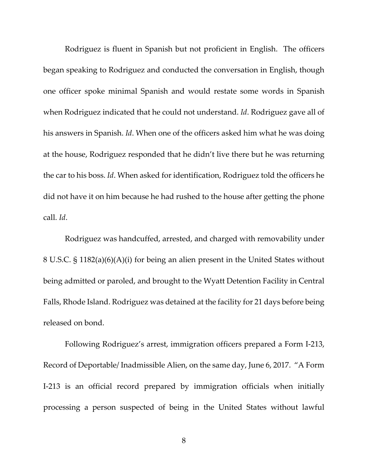Rodriguez is fluent in Spanish but not proficient in English. The officers began speaking to Rodriguez and conducted the conversation in English, though one officer spoke minimal Spanish and would restate some words in Spanish when Rodriguez indicated that he could not understand. *Id*. Rodriguez gave all of his answers in Spanish. *Id*. When one of the officers asked him what he was doing at the house, Rodriguez responded that he didn't live there but he was returning the car to his boss. *Id*. When asked for identification, Rodriguez told the officers he did not have it on him because he had rushed to the house after getting the phone call. *Id*.

Rodriguez was handcuffed, arrested, and charged with removability under 8 U.S.C. § 1182(a)(6)(A)(i) for being an alien present in the United States without being admitted or paroled, and brought to the Wyatt Detention Facility in Central Falls, Rhode Island. Rodriguez was detained at the facility for 21 days before being released on bond.

Following Rodriguez's arrest, immigration officers prepared a Form I‐213, Record of Deportable/ Inadmissible Alien, on the same day, June 6, 2017. "A Form I‐213 is an official record prepared by immigration officials when initially processing a person suspected of being in the United States without lawful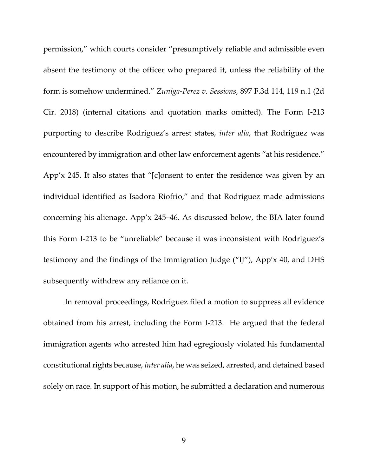permission," which courts consider "presumptively reliable and admissible even absent the testimony of the officer who prepared it, unless the reliability of the form is somehow undermined." *Zuniga‐Perez v. Sessions*, 897 F.3d 114, 119 n.1 (2d Cir. 2018) (internal citations and quotation marks omitted). The Form I‐213 purporting to describe Rodriguez's arrest states, *inter alia*, that Rodriguez was encountered by immigration and other law enforcement agents "at his residence." App'x 245. It also states that "[c]onsent to enter the residence was given by an individual identified as Isadora Riofrio," and that Rodriguez made admissions concerning his alienage. App'x 245**–**46. As discussed below, the BIA later found this Form I‐213 to be "unreliable" because it was inconsistent with Rodriguez's testimony and the findings of the Immigration Judge ("IJ"), App'x 40, and DHS subsequently withdrew any reliance on it.

In removal proceedings, Rodriguez filed a motion to suppress all evidence obtained from his arrest, including the Form I‐213. He argued that the federal immigration agents who arrested him had egregiously violated his fundamental constitutional rights because, *inter alia*, he was seized, arrested, and detained based solely on race. In support of his motion, he submitted a declaration and numerous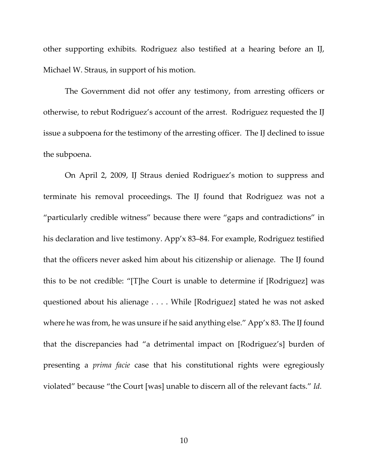other supporting exhibits. Rodriguez also testified at a hearing before an IJ, Michael W. Straus, in support of his motion.

The Government did not offer any testimony, from arresting officers or otherwise, to rebut Rodriguez's account of the arrest. Rodriguez requested the IJ issue a subpoena for the testimony of the arresting officer. The IJ declined to issue the subpoena.

On April 2, 2009, IJ Straus denied Rodriguez's motion to suppress and terminate his removal proceedings. The IJ found that Rodriguez was not a "particularly credible witness" because there were "gaps and contradictions" in his declaration and live testimony. App'x 83–84. For example, Rodriguez testified that the officers never asked him about his citizenship or alienage. The IJ found this to be not credible: "[T]he Court is unable to determine if [Rodriguez] was questioned about his alienage . . . . While [Rodriguez] stated he was not asked where he was from, he was unsure if he said anything else." App'x 83. The IJ found that the discrepancies had "a detrimental impact on [Rodriguez's] burden of presenting a *prima facie* case that his constitutional rights were egregiously violated" because "the Court [was] unable to discern all of the relevant facts." *Id.*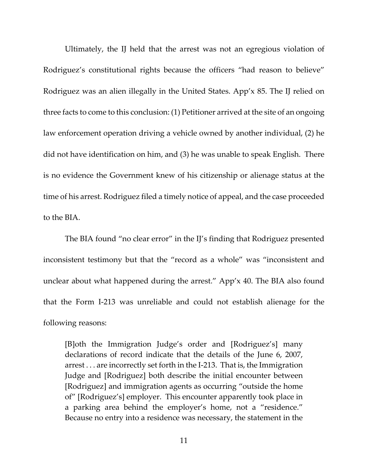Ultimately, the IJ held that the arrest was not an egregious violation of Rodriguez's constitutional rights because the officers "had reason to believe" Rodriguez was an alien illegally in the United States. App'x 85. The IJ relied on three facts to come to this conclusion: (1) Petitioner arrived at the site of an ongoing law enforcement operation driving a vehicle owned by another individual, (2) he did not have identification on him, and (3) he was unable to speak English. There is no evidence the Government knew of his citizenship or alienage status at the time of his arrest. Rodriguez filed a timely notice of appeal, and the case proceeded to the BIA.

The BIA found "no clear error" in the IJ's finding that Rodriguez presented inconsistent testimony but that the "record as a whole" was "inconsistent and unclear about what happened during the arrest." App'x 40. The BIA also found that the Form I‐213 was unreliable and could not establish alienage for the following reasons:

[B]oth the Immigration Judge's order and [Rodriguez's] many declarations of record indicate that the details of the June 6, 2007, arrest . . . are incorrectly set forth in the I‐213. That is, the Immigration Judge and [Rodriguez] both describe the initial encounter between [Rodriguez] and immigration agents as occurring "outside the home of" [Rodriguez's] employer. This encounter apparently took place in a parking area behind the employer's home, not a "residence." Because no entry into a residence was necessary, the statement in the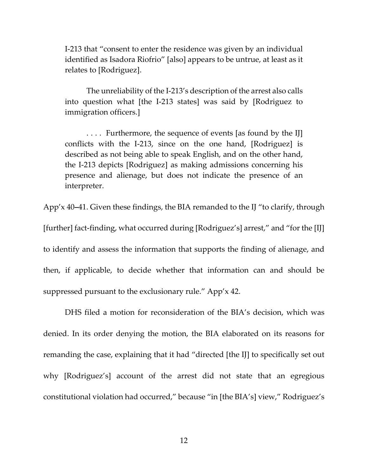I‐213 that "consent to enter the residence was given by an individual identified as Isadora Riofrio" [also] appears to be untrue, at least as it relates to [Rodriguez].

The unreliability of the I‐213's description of the arrest also calls into question what [the I‐213 states] was said by [Rodriguez to immigration officers.]

.... Furthermore, the sequence of events [as found by the IJ] conflicts with the I‐213, since on the one hand, [Rodriguez] is described as not being able to speak English, and on the other hand, the I‐213 depicts [Rodriguez] as making admissions concerning his presence and alienage, but does not indicate the presence of an interpreter.

App'x 40**–**41. Given these findings, the BIA remanded to the IJ "to clarify, through [further] fact‐finding, what occurred during [Rodriguez's] arrest," and "for the [IJ] to identify and assess the information that supports the finding of alienage, and then, if applicable, to decide whether that information can and should be suppressed pursuant to the exclusionary rule." App'x 42.

DHS filed a motion for reconsideration of the BIA's decision, which was denied. In its order denying the motion, the BIA elaborated on its reasons for remanding the case, explaining that it had "directed [the IJ] to specifically set out why [Rodriguez's] account of the arrest did not state that an egregious constitutional violation had occurred," because "in [the BIA's] view," Rodriguez's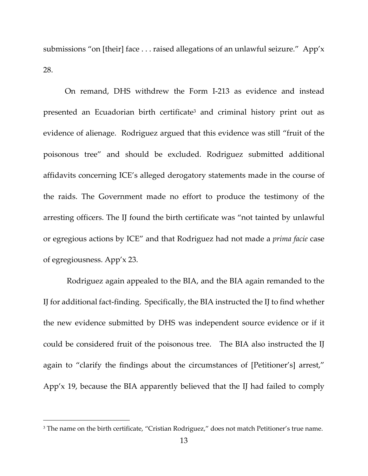submissions "on [their] face . . . raised allegations of an unlawful seizure." App'x 28.

On remand, DHS withdrew the Form I‐213 as evidence and instead presented an Ecuadorian birth certificate<sup>3</sup> and criminal history print out as evidence of alienage. Rodriguez argued that this evidence was still "fruit of the poisonous tree" and should be excluded. Rodriguez submitted additional affidavits concerning ICE's alleged derogatory statements made in the course of the raids. The Government made no effort to produce the testimony of the arresting officers. The IJ found the birth certificate was "not tainted by unlawful or egregious actions by ICE" and that Rodriguez had not made a *prima facie* case of egregiousness. App'x 23.

Rodriguez again appealed to the BIA, and the BIA again remanded to the IJ for additional fact‐finding. Specifically, the BIA instructed the IJ to find whether the new evidence submitted by DHS was independent source evidence or if it could be considered fruit of the poisonous tree. The BIA also instructed the IJ again to "clarify the findings about the circumstances of [Petitioner's] arrest," App'x 19, because the BIA apparently believed that the IJ had failed to comply

<sup>&</sup>lt;sup>3</sup> The name on the birth certificate, "Cristian Rodriguez," does not match Petitioner's true name.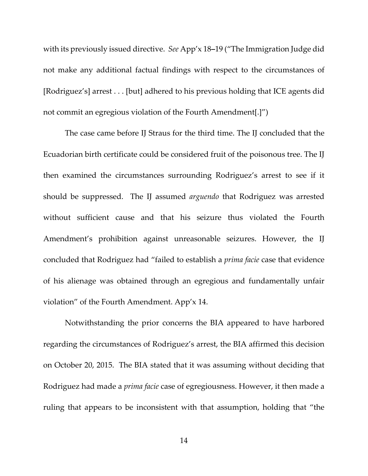with its previously issued directive. *See* App'x 18**–**19 ("The Immigration Judge did not make any additional factual findings with respect to the circumstances of [Rodriguez's] arrest . . . [but] adhered to his previous holding that ICE agents did not commit an egregious violation of the Fourth Amendment[.]")

The case came before IJ Straus for the third time. The IJ concluded that the Ecuadorian birth certificate could be considered fruit of the poisonous tree. The IJ then examined the circumstances surrounding Rodriguez's arrest to see if it should be suppressed. The IJ assumed *arguendo* that Rodriguez was arrested without sufficient cause and that his seizure thus violated the Fourth Amendment's prohibition against unreasonable seizures. However, the IJ concluded that Rodriguez had "failed to establish a *prima facie* case that evidence of his alienage was obtained through an egregious and fundamentally unfair violation" of the Fourth Amendment. App'x 14.

Notwithstanding the prior concerns the BIA appeared to have harbored regarding the circumstances of Rodriguez's arrest, the BIA affirmed this decision on October 20, 2015. The BIA stated that it was assuming without deciding that Rodriguez had made a *prima facie* case of egregiousness. However, it then made a ruling that appears to be inconsistent with that assumption, holding that "the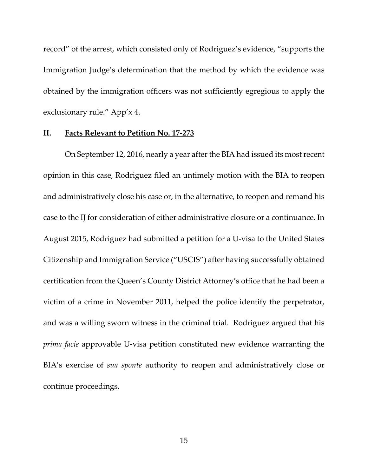record" of the arrest, which consisted only of Rodriguez's evidence, "supports the Immigration Judge's determination that the method by which the evidence was obtained by the immigration officers was not sufficiently egregious to apply the exclusionary rule." App'x 4.

# **II. Facts Relevant to Petition No. 17‐273**

On September 12, 2016, nearly a year after the BIA had issued its most recent opinion in this case, Rodriguez filed an untimely motion with the BIA to reopen and administratively close his case or, in the alternative, to reopen and remand his case to the IJ for consideration of either administrative closure or a continuance. In August 2015, Rodriguez had submitted a petition for a U‐visa to the United States Citizenship and Immigration Service ("USCIS") after having successfully obtained certification from the Queen's County District Attorney's office that he had been a victim of a crime in November 2011, helped the police identify the perpetrator, and was a willing sworn witness in the criminal trial. Rodriguez argued that his *prima facie* approvable U-visa petition constituted new evidence warranting the BIA's exercise of *sua sponte* authority to reopen and administratively close or continue proceedings.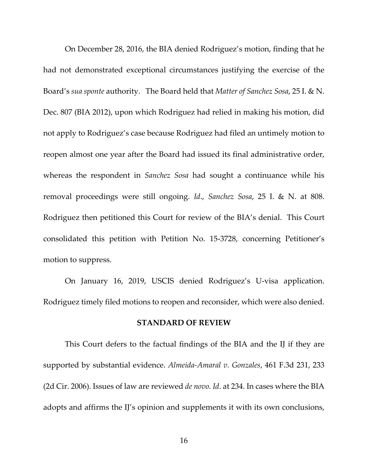On December 28, 2016, the BIA denied Rodriguez's motion, finding that he had not demonstrated exceptional circumstances justifying the exercise of the Board's *sua sponte* authority. The Board held that *Matter of Sanchez Sosa*, 25 I. & N. Dec. 807 (BIA 2012), upon which Rodriguez had relied in making his motion, did not apply to Rodriguez's case because Rodriguez had filed an untimely motion to reopen almost one year after the Board had issued its final administrative order, whereas the respondent in *Sanchez Sosa* had sought a continuance while his removal proceedings were still ongoing. *Id*., *Sanchez Sosa*, 25 I. & N. at 808. Rodriguez then petitioned this Court for review of the BIA's denial. This Court consolidated this petition with Petition No. 15‐3728, concerning Petitioner's motion to suppress.

On January 16, 2019, USCIS denied Rodriguez's U‐visa application. Rodriguez timely filed motions to reopen and reconsider, which were also denied.

#### **STANDARD OF REVIEW**

This Court defers to the factual findings of the BIA and the IJ if they are supported by substantial evidence. *Almeida‐Amaral v. Gonzales*, 461 F.3d 231, 233 (2d Cir. 2006). Issues of law are reviewed *de novo*. *Id*. at 234. In cases where the BIA adopts and affirms the IJ's opinion and supplements it with its own conclusions,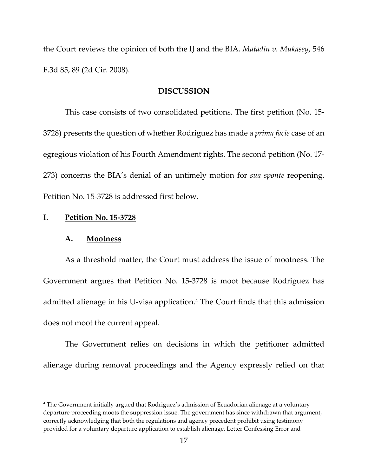the Court reviews the opinion of both the IJ and the BIA. *Matadin v. Mukasey*, 546 F.3d 85, 89 (2d Cir. 2008).

#### **DISCUSSION**

This case consists of two consolidated petitions. The first petition (No. 15‐ 3728) presents the question of whether Rodriguez has made a *prima facie* case of an egregious violation of his Fourth Amendment rights. The second petition (No. 17‐ 273) concerns the BIA's denial of an untimely motion for *sua sponte* reopening. Petition No. 15‐3728 is addressed first below.

#### **I. Petition No. 15‐3728**

#### **A. Mootness**

As a threshold matter, the Court must address the issue of mootness. The Government argues that Petition No. 15‐3728 is moot because Rodriguez has admitted alienage in his U‐visa application.4 The Court finds that this admission does not moot the current appeal.

The Government relies on decisions in which the petitioner admitted alienage during removal proceedings and the Agency expressly relied on that

<sup>4</sup> The Government initially argued that Rodriguez's admission of Ecuadorian alienage at a voluntary departure proceeding moots the suppression issue. The government has since withdrawn that argument, correctly acknowledging that both the regulations and agency precedent prohibit using testimony provided for a voluntary departure application to establish alienage. Letter Confessing Error and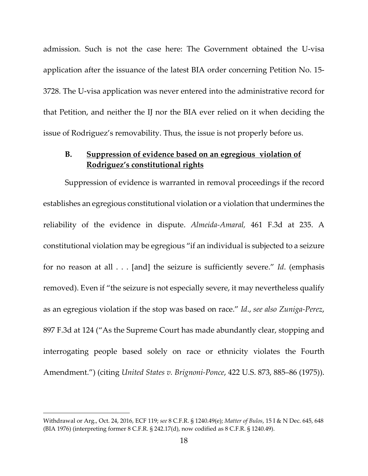admission. Such is not the case here: The Government obtained the U‐visa application after the issuance of the latest BIA order concerning Petition No. 15‐ 3728. The U‐visa application was never entered into the administrative record for that Petition, and neither the IJ nor the BIA ever relied on it when deciding the issue of Rodriguez's removability. Thus, the issue is not properly before us.

# **B. Suppression of evidence based on an egregious violation of Rodriguez's constitutional rights**

Suppression of evidence is warranted in removal proceedings if the record establishes an egregious constitutional violation or a violation that undermines the reliability of the evidence in dispute. *Almeida‐Amaral,* 461 F.3d at 235. A constitutional violation may be egregious "if an individual is subjected to a seizure for no reason at all . . . [and] the seizure is sufficiently severe." *Id*. (emphasis removed). Even if "the seizure is not especially severe, it may nevertheless qualify as an egregious violation if the stop was based on race." *Id*., *see also Zuniga‐Perez*, 897 F.3d at 124 ("As the Supreme Court has made abundantly clear, stopping and interrogating people based solely on race or ethnicity violates the Fourth Amendment.") (citing *United States v. Brignoni‐Ponce*, 422 U.S. 873, 885–86 (1975)).

Withdrawal or Arg., Oct. 24, 2016, ECF 119; *see* 8 C.F.R. § 1240.49(e); *Matter of Bulos*, 15 I & N Dec. 645, 648 (BIA 1976) (interpreting former 8 C.F.R. § 242.17(d), now codified as 8 C.F.R. § 1240.49).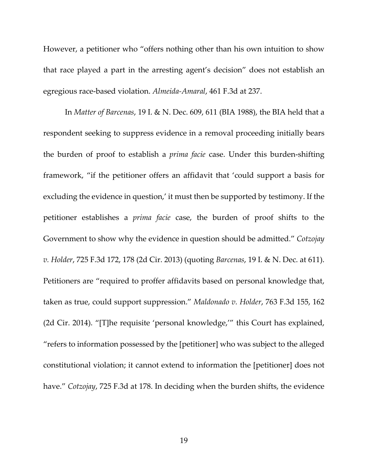However, a petitioner who "offers nothing other than his own intuition to show that race played a part in the arresting agent's decision" does not establish an egregious race‐based violation. *Almeida‐Amaral*, 461 F.3d at 237.

In *Matter of Barcenas*, 19 I. & N. Dec. 609, 611 (BIA 1988), the BIA held that a respondent seeking to suppress evidence in a removal proceeding initially bears the burden of proof to establish a *prima facie* case. Under this burden‐shifting framework, "if the petitioner offers an affidavit that 'could support a basis for excluding the evidence in question,' it must then be supported by testimony. If the petitioner establishes a *prima facie* case, the burden of proof shifts to the Government to show why the evidence in question should be admitted." *Cotzojay v. Holder*, 725 F.3d 172, 178 (2d Cir. 2013) (quoting *Barcenas*, 19 I. & N. Dec. at 611). Petitioners are "required to proffer affidavits based on personal knowledge that, taken as true, could support suppression." *Maldonado v. Holder*, 763 F.3d 155, 162 (2d Cir. 2014). "[T]he requisite 'personal knowledge,'" this Court has explained, "refers to information possessed by the [petitioner] who was subject to the alleged constitutional violation; it cannot extend to information the [petitioner] does not have." *Cotzojay*, 725 F.3d at 178. In deciding when the burden shifts, the evidence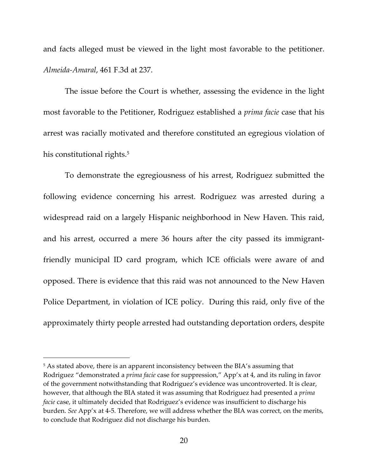and facts alleged must be viewed in the light most favorable to the petitioner. *Almeida‐Amaral*, 461 F.3d at 237.

The issue before the Court is whether, assessing the evidence in the light most favorable to the Petitioner, Rodriguez established a *prima facie* case that his arrest was racially motivated and therefore constituted an egregious violation of his constitutional rights.<sup>5</sup>

To demonstrate the egregiousness of his arrest, Rodriguez submitted the following evidence concerning his arrest. Rodriguez was arrested during a widespread raid on a largely Hispanic neighborhood in New Haven. This raid, and his arrest, occurred a mere 36 hours after the city passed its immigrant‐ friendly municipal ID card program, which ICE officials were aware of and opposed. There is evidence that this raid was not announced to the New Haven Police Department, in violation of ICE policy. During this raid, only five of the approximately thirty people arrested had outstanding deportation orders, despite

<sup>&</sup>lt;sup>5</sup> As stated above, there is an apparent inconsistency between the BIA's assuming that Rodriguez "demonstrated a *prima facie* case for suppression," App'x at 4, and its ruling in favor of the government notwithstanding that Rodriguez's evidence was uncontroverted. It is clear, however, that although the BIA stated it was assuming that Rodriguez had presented a *prima facie* case, it ultimately decided that Rodriguez's evidence was insufficient to discharge his burden. *See* App'x at 4‐5. Therefore, we will address whether the BIA was correct, on the merits, to conclude that Rodriguez did not discharge his burden.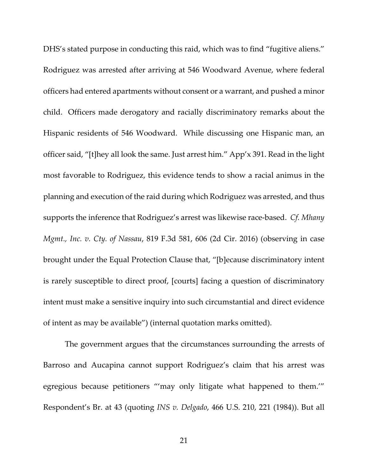DHS's stated purpose in conducting this raid, which was to find "fugitive aliens." Rodriguez was arrested after arriving at 546 Woodward Avenue, where federal officers had entered apartments without consent or a warrant, and pushed a minor child. Officers made derogatory and racially discriminatory remarks about the Hispanic residents of 546 Woodward. While discussing one Hispanic man, an officer said, "[t]hey all look the same. Just arrest him." App'x 391. Read in the light most favorable to Rodriguez, this evidence tends to show a racial animus in the planning and execution of the raid during which Rodriguez was arrested, and thus supports the inference that Rodriguez's arrest was likewise race‐based. *Cf. Mhany Mgmt., Inc. v. Cty. of Nassau*, 819 F.3d 581, 606 (2d Cir. 2016) (observing in case brought under the Equal Protection Clause that, "[b]ecause discriminatory intent is rarely susceptible to direct proof, [courts] facing a question of discriminatory intent must make a sensitive inquiry into such circumstantial and direct evidence of intent as may be available") (internal quotation marks omitted).

The government argues that the circumstances surrounding the arrests of Barroso and Aucapina cannot support Rodriguez's claim that his arrest was egregious because petitioners "'may only litigate what happened to them.'" Respondent's Br. at 43 (quoting *INS v. Delgado*, 466 U.S. 210, 221 (1984)). But all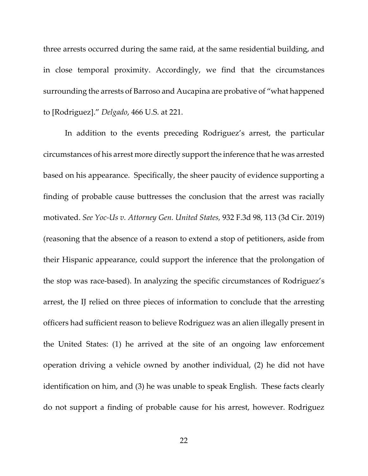three arrests occurred during the same raid, at the same residential building, and in close temporal proximity. Accordingly, we find that the circumstances surrounding the arrests of Barroso and Aucapina are probative of "what happened to [Rodriguez]." *Delgado*, 466 U.S. at 221.

In addition to the events preceding Rodriguez's arrest, the particular circumstances of his arrest more directly support the inference that he was arrested based on his appearance. Specifically, the sheer paucity of evidence supporting a finding of probable cause buttresses the conclusion that the arrest was racially motivated. *See Yoc‐Us v. Attorney Gen. United States,* 932 F.3d 98, 113 (3d Cir. 2019) (reasoning that the absence of a reason to extend a stop of petitioners, aside from their Hispanic appearance, could support the inference that the prolongation of the stop was race‐based). In analyzing the specific circumstances of Rodriguez's arrest, the IJ relied on three pieces of information to conclude that the arresting officers had sufficient reason to believe Rodriguez was an alien illegally present in the United States: (1) he arrived at the site of an ongoing law enforcement operation driving a vehicle owned by another individual, (2) he did not have identification on him, and (3) he was unable to speak English. These facts clearly do not support a finding of probable cause for his arrest, however. Rodriguez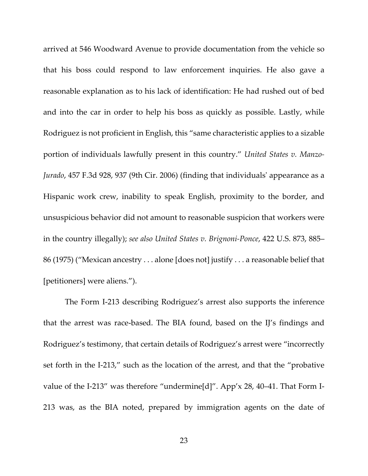arrived at 546 Woodward Avenue to provide documentation from the vehicle so that his boss could respond to law enforcement inquiries. He also gave a reasonable explanation as to his lack of identification: He had rushed out of bed and into the car in order to help his boss as quickly as possible. Lastly, while Rodriguez is not proficient in English, this "same characteristic applies to a sizable portion of individuals lawfully present in this country." *United States v. Manzo‐ Jurado*, 457 F.3d 928, 937 (9th Cir. 2006) (finding that individualsʹ appearance as a Hispanic work crew, inability to speak English, proximity to the border, and unsuspicious behavior did not amount to reasonable suspicion that workers were in the country illegally); *see also United States v. Brignoni‐Ponce*, 422 U.S. 873, 885– 86 (1975) ("Mexican ancestry . . . alone [does not] justify . . . a reasonable belief that [petitioners] were aliens.").

The Form I‐213 describing Rodriguez's arrest also supports the inference that the arrest was race‐based. The BIA found, based on the IJ's findings and Rodriguez's testimony, that certain details of Rodriguez's arrest were "incorrectly set forth in the I-213," such as the location of the arrest, and that the "probative value of the I-213" was therefore "undermine[d]". App'x 28, 40–41. That Form I-213 was, as the BIA noted, prepared by immigration agents on the date of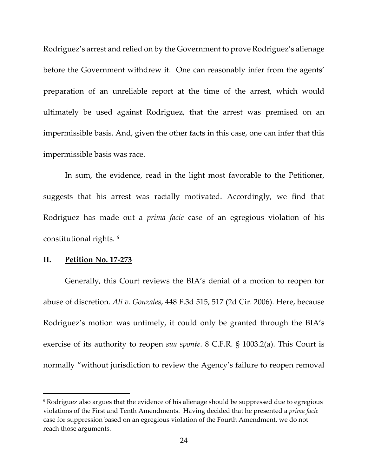Rodriguez's arrest and relied on by the Government to prove Rodriguez's alienage before the Government withdrew it. One can reasonably infer from the agents' preparation of an unreliable report at the time of the arrest, which would ultimately be used against Rodriguez, that the arrest was premised on an impermissible basis. And, given the other facts in this case, one can infer that this impermissible basis was race.

In sum, the evidence, read in the light most favorable to the Petitioner, suggests that his arrest was racially motivated. Accordingly, we find that Rodriguez has made out a *prima facie* case of an egregious violation of his constitutional rights. <sup>6</sup>

## **II. Petition No. 17‐273**

Generally, this Court reviews the BIA's denial of a motion to reopen for abuse of discretion. *Ali v. Gonzales*, 448 F.3d 515, 517 (2d Cir. 2006). Here, because Rodriguez's motion was untimely, it could only be granted through the BIA's exercise of its authority to reopen *sua sponte*. 8 C.F.R. § 1003.2(a). This Court is normally "without jurisdiction to review the Agency's failure to reopen removal

<sup>6</sup> Rodriguez also argues that the evidence of his alienage should be suppressed due to egregious violations of the First and Tenth Amendments. Having decided that he presented a *prima facie* case for suppression based on an egregious violation of the Fourth Amendment, we do not reach those arguments.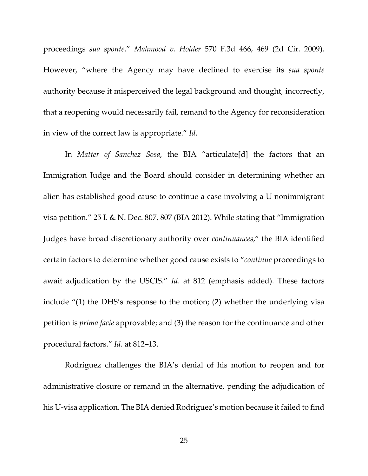proceedings *sua sponte*." *Mahmood v. Holder* 570 F.3d 466, 469 (2d Cir. 2009). However, "where the Agency may have declined to exercise its *sua sponte* authority because it misperceived the legal background and thought, incorrectly, that a reopening would necessarily fail, remand to the Agency for reconsideration in view of the correct law is appropriate." *Id*.

In *Matter of Sanchez Sosa*, the BIA "articulate[d] the factors that an Immigration Judge and the Board should consider in determining whether an alien has established good cause to continue a case involving a U nonimmigrant visa petition." 25 I. & N. Dec. 807, 807 (BIA 2012). While stating that "Immigration Judges have broad discretionary authority over *continuances*," the BIA identified certain factors to determine whether good cause exists to "*continue* proceedings to await adjudication by the USCIS." *Id*. at 812 (emphasis added). These factors include "(1) the DHS's response to the motion; (2) whether the underlying visa petition is *prima facie* approvable; and (3) the reason for the continuance and other procedural factors." *Id*. at 812**–**13.

Rodriguez challenges the BIA's denial of his motion to reopen and for administrative closure or remand in the alternative, pending the adjudication of his U-visa application. The BIA denied Rodriguez's motion because it failed to find